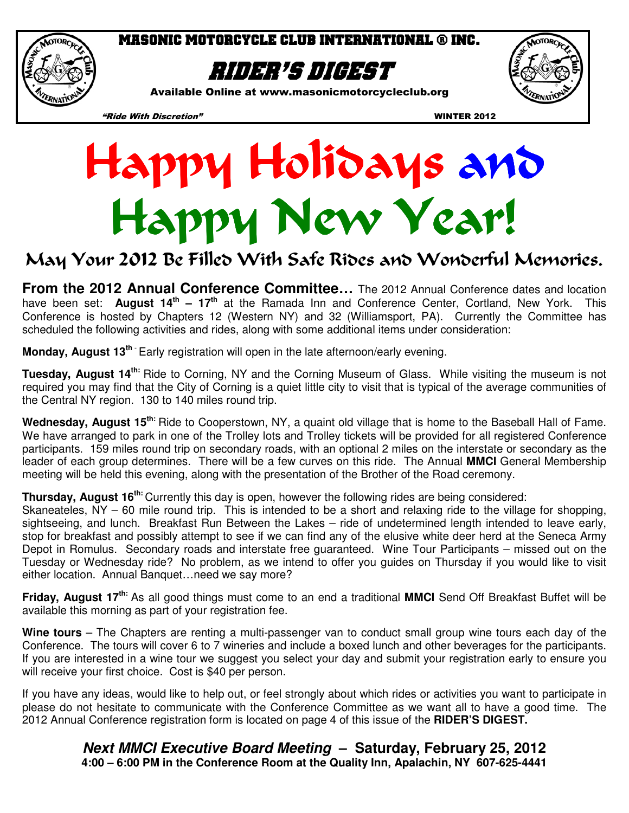

## Masonic Motorcycle club international ® inc.

# Rider's digest

Available Online at www.masonicmotorcycleclub.org



"Ride With Discretion" WINTER 2012



# May Your 2012 Be Filled With Safe Rides and Wonderful Memories.

**From the 2012 Annual Conference Committee...** The 2012 Annual Conference dates and location have been set: **August 14th – 17th** at the Ramada Inn and Conference Center, Cortland, New York. This Conference is hosted by Chapters 12 (Western NY) and 32 (Williamsport, PA). Currently the Committee has scheduled the following activities and rides, along with some additional items under consideration:

**Monday, August 13th** - Early registration will open in the late afternoon/early evening.

**Tuesday, August 14th:** Ride to Corning, NY and the Corning Museum of Glass. While visiting the museum is not required you may find that the City of Corning is a quiet little city to visit that is typical of the average communities of the Central NY region. 130 to 140 miles round trip.

**Wednesday, August 15th:** Ride to Cooperstown, NY, a quaint old village that is home to the Baseball Hall of Fame. We have arranged to park in one of the Trolley lots and Trolley tickets will be provided for all registered Conference participants. 159 miles round trip on secondary roads, with an optional 2 miles on the interstate or secondary as the leader of each group determines. There will be a few curves on this ride. The Annual **MMCI** General Membership meeting will be held this evening, along with the presentation of the Brother of the Road ceremony.

**Thursday, August 16th:** Currently this day is open, however the following rides are being considered:

Skaneateles, NY – 60 mile round trip. This is intended to be a short and relaxing ride to the village for shopping, sightseeing, and lunch. Breakfast Run Between the Lakes – ride of undetermined length intended to leave early, stop for breakfast and possibly attempt to see if we can find any of the elusive white deer herd at the Seneca Army Depot in Romulus. Secondary roads and interstate free guaranteed. Wine Tour Participants – missed out on the Tuesday or Wednesday ride? No problem, as we intend to offer you guides on Thursday if you would like to visit either location. Annual Banquet…need we say more?

**Friday, August 17th:** As all good things must come to an end a traditional **MMCI** Send Off Breakfast Buffet will be available this morning as part of your registration fee.

**Wine tours** – The Chapters are renting a multi-passenger van to conduct small group wine tours each day of the Conference. The tours will cover 6 to 7 wineries and include a boxed lunch and other beverages for the participants. If you are interested in a wine tour we suggest you select your day and submit your registration early to ensure you will receive your first choice. Cost is \$40 per person.

If you have any ideas, would like to help out, or feel strongly about which rides or activities you want to participate in please do not hesitate to communicate with the Conference Committee as we want all to have a good time. The 2012 Annual Conference registration form is located on page 4 of this issue of the **RIDER'S DIGEST.**

> **Next MMCI Executive Board Meeting – Saturday, February 25, 2012 4:00 – 6:00 PM in the Conference Room at the Quality Inn, Apalachin, NY 607-625-4441**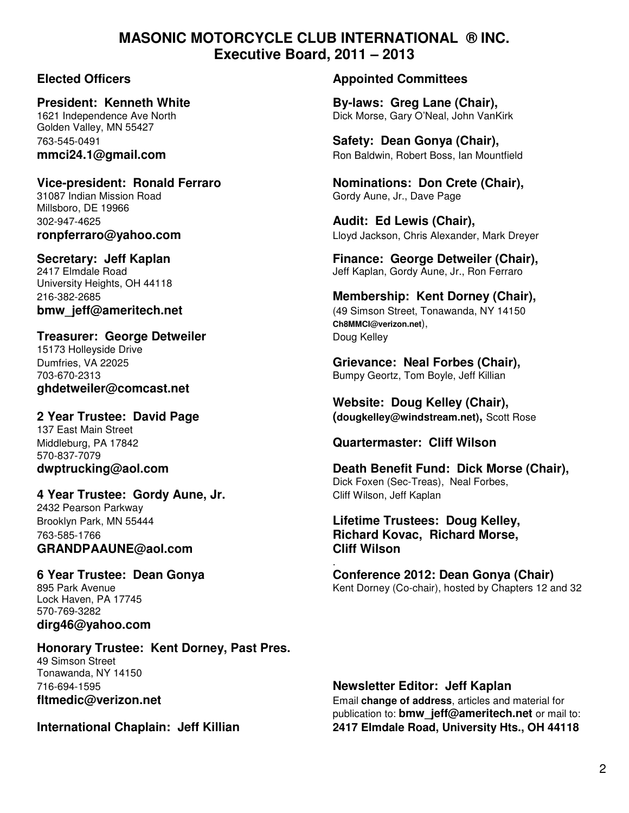# **MASONIC MOTORCYCLE CLUB INTERNATIONAL ® INC. Executive Board, 2011 – 2013**

Golden Valley, MN 55427

31087 Indian Mission Road Gordy Aune, Jr., Dave Page Millsboro, DE 19966 302-947-4625 **Audit: Ed Lewis (Chair),** 

University Heights, OH 44118

## **Treasurer: George Detweiler Communist Communist Communist Communist Communist Communist Communist Communist Communist Communist Communist Communist Communist Communist Communist Communist Communist Communist Communist C**

15173 Holleyside Drive **ghdetweiler@comcast.net** 

137 East Main Street 570-837-7079

### **4 Year Trustee: Gordy Aune, Jr. Cliff Wilson, Jeff Kaplan** 2432 Pearson Parkway

**GRANDPAAUNE@aol.com Cliff Wilson** 

 . Lock Haven, PA 17745 570-769-3282 **dirg46@yahoo.com** 

### **Honorary Trustee: Kent Dorney, Past Pres.**  49 Simson Street Tonawanda, NY 14150 716-694-1595 **Newsletter Editor: Jeff Kaplan**

## **Elected Officers Appointed Committees**

**President: Kenneth White By-laws: Greg Lane (Chair), By-laws: Greg Lane (Chair), By-laws: Greg Lane (Chair),**  $\overline{1621}$  Independence Ave North Dick Morse, Gary O'Neal, John VanKirk

763-545-0491 **Safety: Dean Gonya (Chair), mmci24.1@gmail.com Ron Baldwin, Robert Boss, Ian Mountfield** 

**Vice-president: Ronald Ferraro Nominations: Don Crete (Chair),** 

**ronpferraro@yahoo.com Lloyd Jackson, Chris Alexander, Mark Dreyer** 

**Secretary: Jeff Kaplan Finance: George Detweiler (Chair), Finance: George Detweiler (Chair), 2417 Elmdale Road** Jeff Kaplan, Gordy Aune, Jr., Ron Ferraro

216-382-2685 **Membership: Kent Dorney (Chair), bmw\_jeff@ameritech.net bmw\_jeff@ameritech.net 14150** (49 Simson Street, Tonawanda, NY 14150  **Ch8MMCI@verizon.net**),

Dumfries, VA 22025 **Grievance: Neal Forbes (Chair),**  703-670-2313 Bumpy Geortz, Tom Boyle, Jeff Killian

 **Website: Doug Kelley (Chair), 2 Year Trustee: David Page (dougkelley@windstream.net),** Scott Rose

## Middleburg, PA 17842 **Quartermaster: Cliff Wilson**

**dwptrucking@aol.com Death Benefit Fund: Dick Morse (Chair),**  Dick Foxen (Sec-Treas), Neal Forbes,

# Brooklyn Park, MN 55444 **Lifetime Trustees: Doug Kelley,**  763-585-1766 **Richard Kovac, Richard Morse,**

**6 Year Trustee: Dean Gonya Conference 2012: Dean Gonya (Chair)**<br> **6 Year Trustee: Dean Gonya Conference 2012: Dean Gonya (Chair)**<br>
Kent Dorney (Co-chair). hosted by Chapters 12 a Kent Dorney (Co-chair), hosted by Chapters 12 and 32

**fltmedic@verizon.net** Email change of address, articles and material for publication to: **bmw\_jeff@ameritech.net** or mail to: **International Chaplain: Jeff Killian 2417 Elmdale Road, University Hts., OH 44118**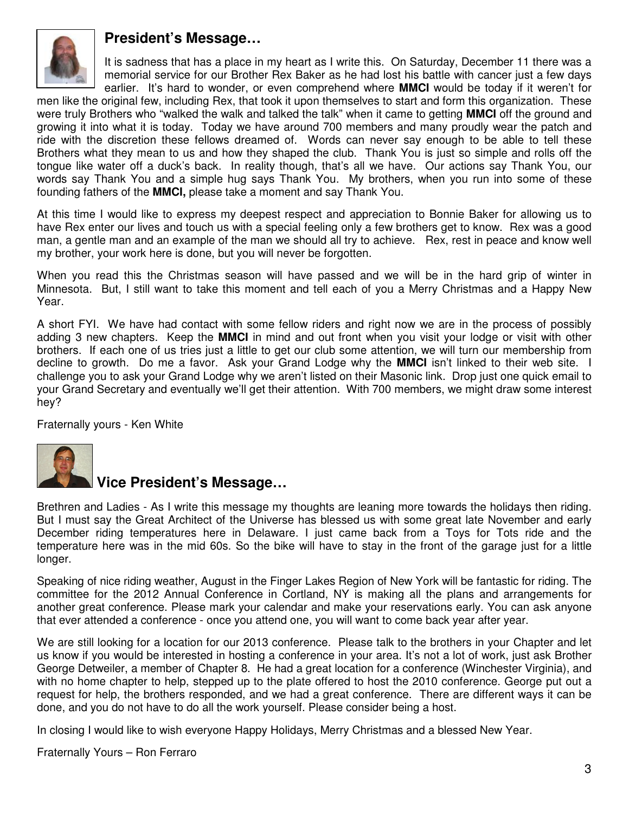

# **President's Message…**

It is sadness that has a place in my heart as I write this. On Saturday, December 11 there was a memorial service for our Brother Rex Baker as he had lost his battle with cancer just a few days earlier. It's hard to wonder, or even comprehend where **MMCI** would be today if it weren't for

men like the original few, including Rex, that took it upon themselves to start and form this organization. These were truly Brothers who "walked the walk and talked the talk" when it came to getting **MMCI** off the ground and growing it into what it is today. Today we have around 700 members and many proudly wear the patch and ride with the discretion these fellows dreamed of. Words can never say enough to be able to tell these Brothers what they mean to us and how they shaped the club. Thank You is just so simple and rolls off the tongue like water off a duck's back. In reality though, that's all we have. Our actions say Thank You, our words say Thank You and a simple hug says Thank You. My brothers, when you run into some of these founding fathers of the **MMCI,** please take a moment and say Thank You.

At this time I would like to express my deepest respect and appreciation to Bonnie Baker for allowing us to have Rex enter our lives and touch us with a special feeling only a few brothers get to know. Rex was a good man, a gentle man and an example of the man we should all try to achieve. Rex, rest in peace and know well my brother, your work here is done, but you will never be forgotten.

When you read this the Christmas season will have passed and we will be in the hard grip of winter in Minnesota. But, I still want to take this moment and tell each of you a Merry Christmas and a Happy New Year.

A short FYI. We have had contact with some fellow riders and right now we are in the process of possibly adding 3 new chapters. Keep the **MMCI** in mind and out front when you visit your lodge or visit with other brothers. If each one of us tries just a little to get our club some attention, we will turn our membership from decline to growth. Do me a favor. Ask your Grand Lodge why the **MMCI** isn't linked to their web site. I challenge you to ask your Grand Lodge why we aren't listed on their Masonic link. Drop just one quick email to your Grand Secretary and eventually we'll get their attention. With 700 members, we might draw some interest hey?

Fraternally yours - Ken White



# **Vice President's Message…**

Brethren and Ladies - As I write this message my thoughts are leaning more towards the holidays then riding. But I must say the Great Architect of the Universe has blessed us with some great late November and early December riding temperatures here in Delaware. I just came back from a Toys for Tots ride and the temperature here was in the mid 60s. So the bike will have to stay in the front of the garage just for a little longer.

Speaking of nice riding weather, August in the Finger Lakes Region of New York will be fantastic for riding. The committee for the 2012 Annual Conference in Cortland, NY is making all the plans and arrangements for another great conference. Please mark your calendar and make your reservations early. You can ask anyone that ever attended a conference - once you attend one, you will want to come back year after year.

We are still looking for a location for our 2013 conference. Please talk to the brothers in your Chapter and let us know if you would be interested in hosting a conference in your area. It's not a lot of work, just ask Brother George Detweiler, a member of Chapter 8. He had a great location for a conference (Winchester Virginia), and with no home chapter to help, stepped up to the plate offered to host the 2010 conference. George put out a request for help, the brothers responded, and we had a great conference. There are different ways it can be done, and you do not have to do all the work yourself. Please consider being a host.

In closing I would like to wish everyone Happy Holidays, Merry Christmas and a blessed New Year.

Fraternally Yours – Ron Ferraro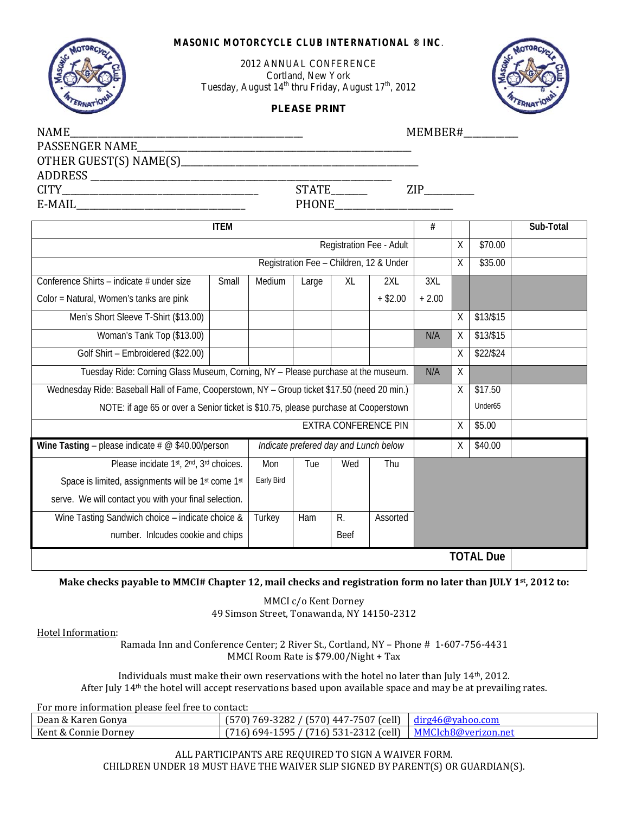### *MASONIC MOTORCYCLE CLUB INTERNATIONAL ® INC*.



2012 ANNUAL CONFERENCE Cortland, New York Tuesday, August  $14^{th}$  thru Friday, August  $17^{th}$ , 2012

### **PLEASE PRINT**



| NAME<br><u> 1989 - Johann Stoff, deutscher Stoff, der Stoff, der Stoff, der Stoff, der Stoff, der Stoff, der Stoff, der S</u> |             |                                       |       |             |                                         | MEMBER# |        |                     |           |  |
|-------------------------------------------------------------------------------------------------------------------------------|-------------|---------------------------------------|-------|-------------|-----------------------------------------|---------|--------|---------------------|-----------|--|
| PASSENGER NAME                                                                                                                |             |                                       |       |             |                                         |         |        |                     |           |  |
|                                                                                                                               |             |                                       |       |             |                                         |         |        |                     |           |  |
|                                                                                                                               |             |                                       |       |             |                                         |         |        |                     |           |  |
| <b>CITY</b>                                                                                                                   |             | STATE________                         |       |             |                                         |         |        |                     |           |  |
|                                                                                                                               |             |                                       |       |             |                                         |         |        |                     |           |  |
|                                                                                                                               | <b>ITEM</b> |                                       |       |             |                                         | #       |        |                     | Sub-Total |  |
|                                                                                                                               |             |                                       |       |             | Registration Fee - Adult                |         | X      | \$70.00             |           |  |
|                                                                                                                               |             |                                       |       |             | Registration Fee - Children, 12 & Under |         | X      | \$35.00             |           |  |
| Conference Shirts - indicate # under size                                                                                     | Small       | Medium                                | Large | XL          | 2XL                                     | 3XL     |        |                     |           |  |
| Color = Natural, Women's tanks are pink                                                                                       |             |                                       |       |             | $+$ \$2.00                              | $+2.00$ |        |                     |           |  |
| Men's Short Sleeve T-Shirt (\$13.00)                                                                                          |             |                                       |       |             |                                         |         | Χ      | \$13/\$15           |           |  |
| Woman's Tank Top (\$13.00)                                                                                                    |             |                                       |       |             |                                         | N/A     | X      | \$13/\$15           |           |  |
| Golf Shirt - Embroidered (\$22.00)                                                                                            |             |                                       |       |             |                                         |         | X      | \$22/\$24           |           |  |
| Tuesday Ride: Corning Glass Museum, Corning, NY - Please purchase at the museum.                                              |             |                                       |       |             |                                         | N/A     | $\chi$ |                     |           |  |
| Wednesday Ride: Baseball Hall of Fame, Cooperstown, NY - Group ticket \$17.50 (need 20 min.)                                  |             |                                       |       |             |                                         |         | Χ      | \$17.50             |           |  |
| NOTE: if age 65 or over a Senior ticket is \$10.75, please purchase at Cooperstown                                            |             |                                       |       |             |                                         |         |        | Under <sub>65</sub> |           |  |
|                                                                                                                               |             |                                       |       |             | <b>EXTRA CONFERENCE PIN</b>             |         | χ      | \$5.00              |           |  |
| Wine Tasting - please indicate $# \textcircled{ } $40.00$ /person                                                             |             | Indicate prefered day and Lunch below |       |             |                                         |         | Χ      | \$40.00             |           |  |
| Please incidate 1st, 2nd, 3rd choices.                                                                                        |             | Mon                                   | Tue   | Wed         | Thu                                     |         |        |                     |           |  |
| Space is limited, assignments will be 1st come 1st                                                                            |             | Early Bird                            |       |             |                                         |         |        |                     |           |  |
| serve. We will contact you with your final selection.                                                                         |             |                                       |       |             |                                         |         |        |                     |           |  |
| Wine Tasting Sandwich choice - indicate choice &                                                                              |             | Turkey                                | Ham   | R.          | Assorted                                |         |        |                     |           |  |
| number. Inlcudes cookie and chips                                                                                             |             |                                       |       | <b>Beef</b> |                                         |         |        |                     |           |  |
|                                                                                                                               |             |                                       |       |             |                                         |         |        | <b>TOTAL Due</b>    |           |  |

### **Make checks payable to MMCI# Chapter 12, mail checks and registration form no later than JULY 1st, 2012 to:**

MMCI c/o Kent Dorney 49 Simson Street, Tonawanda, NY 14150-2312

Hotel Information:

Ramada Inn and Conference Center; 2 River St., Cortland, NY – Phone # 1-607-756-4431 MMCI Room Rate is \$79.00/Night + Tax

Individuals must make their own reservations with the hotel no later than July 14th, 2012. After July 14th the hotel will accept reservations based upon available space and may be at prevailing rates.

For more information please feel free to contact:

| Dean & Karen Gonva   | $(570)$ 447-7507 (cell)<br>769-3282 /<br>570) -      | dirg46@vahoo.com    |
|----------------------|------------------------------------------------------|---------------------|
| Kent & Connie Dorney | 716) 531-2312 (cell)<br>15957<br>$7716$ .<br>1 694-1 | MMCIch8@verizon.net |

ALL PARTICIPANTS ARE REQUIRED TO SIGN A WAIVER FORM. CHILDREN UNDER 18 MUST HAVE THE WAIVER SLIP SIGNED BY PARENT(S) OR GUARDIAN(S).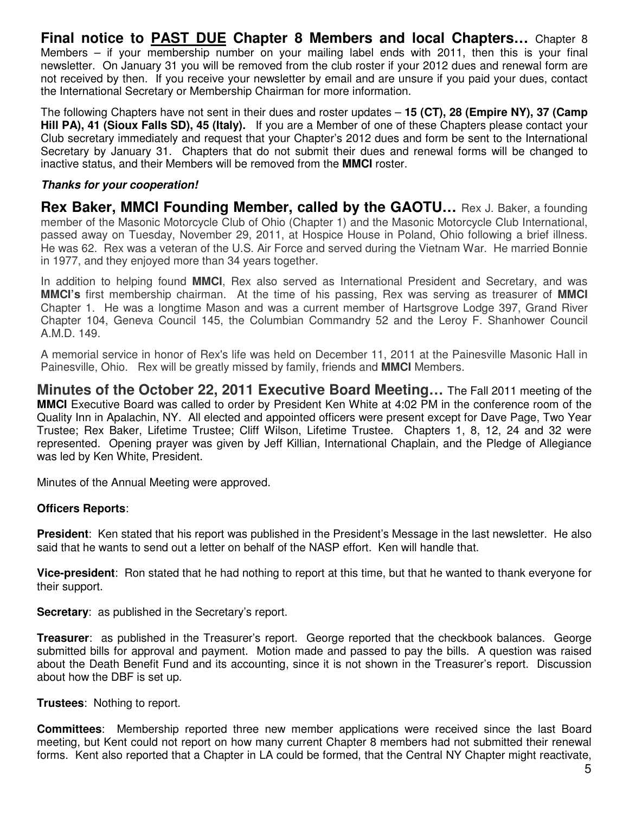**Final notice to PAST DUE Chapter 8 Members and local Chapters…** Chapter 8 Members – if your membership number on your mailing label ends with 2011, then this is your final newsletter. On January 31 you will be removed from the club roster if your 2012 dues and renewal form are not received by then. If you receive your newsletter by email and are unsure if you paid your dues, contact the International Secretary or Membership Chairman for more information.

The following Chapters have not sent in their dues and roster updates – **15 (CT), 28 (Empire NY), 37 (Camp Hill PA), 41 (Sioux Falls SD), 45 (Italy).** If you are a Member of one of these Chapters please contact your Club secretary immediately and request that your Chapter's 2012 dues and form be sent to the International Secretary by January 31. Chapters that do not submit their dues and renewal forms will be changed to inactive status, and their Members will be removed from the **MMCI** roster.

### **Thanks for your cooperation!**

**Rex Baker, MMCI Founding Member, called by the GAOTU...** Rex J. Baker, a founding member of the Masonic Motorcycle Club of Ohio (Chapter 1) and the Masonic Motorcycle Club International, passed away on Tuesday, November 29, 2011, at Hospice House in Poland, Ohio following a brief illness. He was 62. Rex was a veteran of the U.S. Air Force and served during the Vietnam War. He married Bonnie in 1977, and they enjoyed more than 34 years together.

In addition to helping found **MMCI**, Rex also served as International President and Secretary, and was **MMCI's** first membership chairman. At the time of his passing, Rex was serving as treasurer of **MMCI** Chapter 1. He was a longtime Mason and was a current member of Hartsgrove Lodge 397, Grand River Chapter 104, Geneva Council 145, the Columbian Commandry 52 and the Leroy F. Shanhower Council A.M.D. 149.

A memorial service in honor of Rex's life was held on December 11, 2011 at the Painesville Masonic Hall in Painesville, Ohio. Rex will be greatly missed by family, friends and **MMCI** Members.

**Minutes of the October 22, 2011 Executive Board Meeting…** The Fall 2011 meeting of the **MMCI** Executive Board was called to order by President Ken White at 4:02 PM in the conference room of the Quality Inn in Apalachin, NY. All elected and appointed officers were present except for Dave Page, Two Year Trustee; Rex Baker, Lifetime Trustee; Cliff Wilson, Lifetime Trustee. Chapters 1, 8, 12, 24 and 32 were represented. Opening prayer was given by Jeff Killian, International Chaplain, and the Pledge of Allegiance was led by Ken White, President.

Minutes of the Annual Meeting were approved.

### **Officers Reports**:

**President**: Ken stated that his report was published in the President's Message in the last newsletter. He also said that he wants to send out a letter on behalf of the NASP effort. Ken will handle that.

**Vice-president**: Ron stated that he had nothing to report at this time, but that he wanted to thank everyone for their support.

**Secretary**: as published in the Secretary's report.

**Treasurer**: as published in the Treasurer's report. George reported that the checkbook balances. George submitted bills for approval and payment. Motion made and passed to pay the bills. A question was raised about the Death Benefit Fund and its accounting, since it is not shown in the Treasurer's report. Discussion about how the DBF is set up.

**Trustees**: Nothing to report.

**Committees**: Membership reported three new member applications were received since the last Board meeting, but Kent could not report on how many current Chapter 8 members had not submitted their renewal forms. Kent also reported that a Chapter in LA could be formed, that the Central NY Chapter might reactivate,